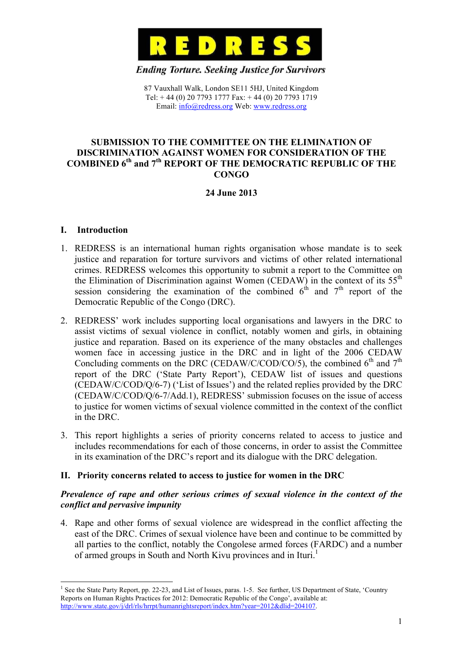

**Ending Torture. Seeking Justice for Survivors** 

87 Vauxhall Walk, London SE11 5HJ, United Kingdom Tel: + 44 (0) 20 7793 1777 Fax: + 44 (0) 20 7793 1719 Email: info@redress.org Web: www.redress.org

#### **SUBMISSION TO THE COMMITTEE ON THE ELIMINATION OF DISCRIMINATION AGAINST WOMEN FOR CONSIDERATION OF THE COMBINED 6th and 7th REPORT OF THE DEMOCRATIC REPUBLIC OF THE CONGO**

# **24 June 2013**

#### **I. Introduction**

!!!!!!!!!!!!!!!!!!!!!!!!!!!!!!!!!!!!!!!!!!!!!!!!!!!!!!!!!!!!

- 1. REDRESS is an international human rights organisation whose mandate is to seek justice and reparation for torture survivors and victims of other related international crimes. REDRESS welcomes this opportunity to submit a report to the Committee on the Elimination of Discrimination against Women (CEDAW) in the context of its  $55<sup>th</sup>$ session considering the examination of the combined  $6<sup>th</sup>$  and  $7<sup>th</sup>$  report of the Democratic Republic of the Congo (DRC).
- 2. REDRESS' work includes supporting local organisations and lawyers in the DRC to assist victims of sexual violence in conflict, notably women and girls, in obtaining justice and reparation. Based on its experience of the many obstacles and challenges women face in accessing justice in the DRC and in light of the 2006 CEDAW Concluding comments on the DRC (CEDAW/C/COD/CO/5), the combined  $6<sup>th</sup>$  and  $7<sup>th</sup>$ report of the DRC ('State Party Report'), CEDAW list of issues and questions (CEDAW/C/COD/Q/6-7) ('List of Issues') and the related replies provided by the DRC (CEDAW/C/COD/Q/6-7/Add.1), REDRESS' submission focuses on the issue of access to justice for women victims of sexual violence committed in the context of the conflict in the DRC.
- 3. This report highlights a series of priority concerns related to access to justice and includes recommendations for each of those concerns, in order to assist the Committee in its examination of the DRC's report and its dialogue with the DRC delegation.

## **II. Priority concerns related to access to justice for women in the DRC**

## *Prevalence of rape and other serious crimes of sexual violence in the context of the conflict and pervasive impunity*

4. Rape and other forms of sexual violence are widespread in the conflict affecting the east of the DRC. Crimes of sexual violence have been and continue to be committed by all parties to the conflict, notably the Congolese armed forces (FARDC) and a number of armed groups in South and North Kivu provinces and in Ituri.<sup>1</sup>

<sup>&</sup>lt;sup>1</sup> See the State Party Report, pp. 22-23, and List of Issues, paras. 1-5. See further, US Department of State, 'Country Reports on Human Rights Practices for 2012: Democratic Republic of the Congo', available at: http://www.state.gov/j/drl/rls/hrrpt/humanrightsreport/index.htm?year=2012&dlid=204107.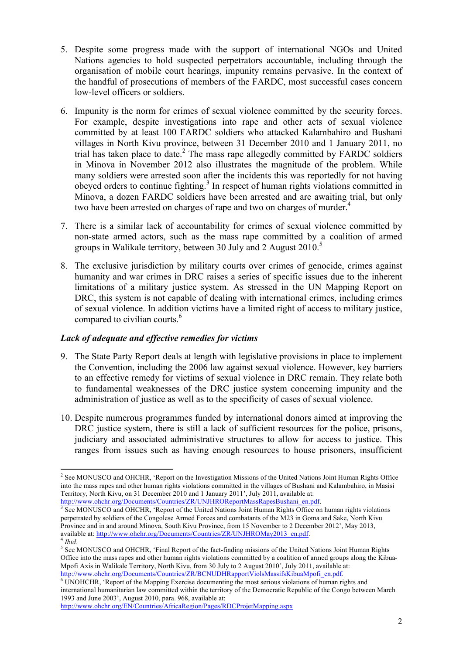- 5. Despite some progress made with the support of international NGOs and United Nations agencies to hold suspected perpetrators accountable, including through the organisation of mobile court hearings, impunity remains pervasive. In the context of the handful of prosecutions of members of the FARDC, most successful cases concern low-level officers or soldiers.
- 6. Impunity is the norm for crimes of sexual violence committed by the security forces. For example, despite investigations into rape and other acts of sexual violence committed by at least 100 FARDC soldiers who attacked Kalambahiro and Bushani villages in North Kivu province, between 31 December 2010 and 1 January 2011, no trial has taken place to date. 2 The mass rape allegedly committed by FARDC soldiers in Minova in November 2012 also illustrates the magnitude of the problem. While many soldiers were arrested soon after the incidents this was reportedly for not having obeyed orders to continue fighting.<sup>3</sup> In respect of human rights violations committed in Minova, a dozen FARDC soldiers have been arrested and are awaiting trial, but only two have been arrested on charges of rape and two on charges of murder.<sup>4</sup>
- 7. There is a similar lack of accountability for crimes of sexual violence committed by non-state armed actors, such as the mass rape committed by a coalition of armed groups in Walikale territory, between 30 July and 2 August 2010.<sup>5</sup>
- 8. The exclusive jurisdiction by military courts over crimes of genocide, crimes against humanity and war crimes in DRC raises a series of specific issues due to the inherent limitations of a military justice system. As stressed in the UN Mapping Report on DRC, this system is not capable of dealing with international crimes, including crimes of sexual violence. In addition victims have a limited right of access to military justice, compared to civilian courts.<sup>6</sup>

## *Lack of adequate and effective remedies for victims*

- 9. The State Party Report deals at length with legislative provisions in place to implement the Convention, including the 2006 law against sexual violence. However, key barriers to an effective remedy for victims of sexual violence in DRC remain. They relate both to fundamental weaknesses of the DRC justice system concerning impunity and the administration of justice as well as to the specificity of cases of sexual violence.
- 10. Despite numerous programmes funded by international donors aimed at improving the DRC justice system, there is still a lack of sufficient resources for the police, prisons, judiciary and associated administrative structures to allow for access to justice. This ranges from issues such as having enough resources to house prisoners, insufficient

<sup>!!!!!!!!!!!!!!!!!!!!!!!!!!!!!!!!!!!!!!!!!!!!!!!!!!!!!!!!!!!!</sup> <sup>2</sup> See MONUSCO and OHCHR, 'Report on the Investigation Missions of the United Nations Joint Human Rights Office into the mass rapes and other human rights violations committed in the villages of Bushani and Kalambahiro, in Masisi Territory, North Kivu, on 31 December 2010 and 1 January 2011', July 2011, available at:

http://www.ohchr.org/Documents/Countries/ZR/UNJHROReportMassRapesBushani\_en.pdf.<br><sup>3</sup> See MONUSCO and OHCHR, 'Report of the United Nations Joint Human Rights Office on human rights violations perpetrated by soldiers of the Congolese Armed Forces and combatants of the M23 in Goma and Sake, North Kivu Province and in and around Minova, South Kivu Province, from 15 November to 2 December 2012', May 2013, available at: http://www.ohchr.org/Documents/Countries/ZR/UNJHROMay2013\_en.pdf. 4 *Ibid.* 

<sup>&</sup>lt;sup>5</sup> See MONUSCO and OHCHR, 'Final Report of the fact-finding missions of the United Nations Joint Human Rights Office into the mass rapes and other human rights violations committed by a coalition of armed groups along the Kibua-Mpofi Axis in Walikale Territory, North Kivu, from 30 July to 2 August 2010', July 2011, available at: http://www.ohchr.org/Documents/Countries/ZR/BCNUDHRapportViolsMassifsKibuaMpofi\_en.pdf.<br><sup>6</sup> UNOHCHR, 'Report of the Mapping Exercise documenting the most serious violations of human rights and

international humanitarian law committed within the territory of the Democratic Republic of the Congo between March 1993 and June 2003', August 2010, para. 968, available at:

http://www.ohchr.org/EN/Countries/AfricaRegion/Pages/RDCProjetMapping.aspx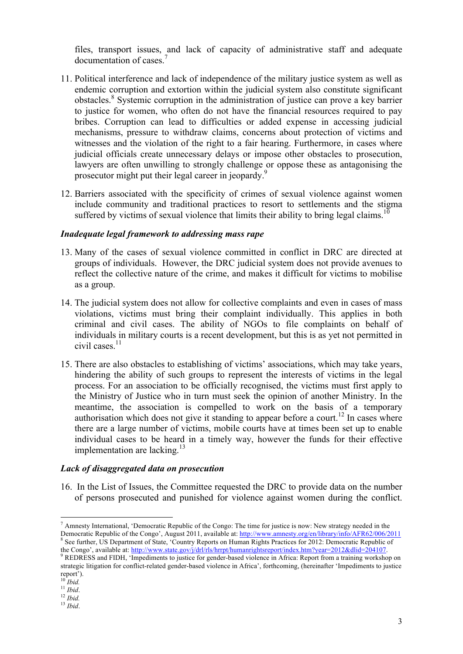files, transport issues, and lack of capacity of administrative staff and adequate documentation of cases. 7

- 11. Political interference and lack of independence of the military justice system as well as endemic corruption and extortion within the judicial system also constitute significant obstacles.<sup>8</sup> Systemic corruption in the administration of justice can prove a key barrier to justice for women, who often do not have the financial resources required to pay bribes. Corruption can lead to difficulties or added expense in accessing judicial mechanisms, pressure to withdraw claims, concerns about protection of victims and witnesses and the violation of the right to a fair hearing. Furthermore, in cases where judicial officials create unnecessary delays or impose other obstacles to prosecution, lawyers are often unwilling to strongly challenge or oppose these as antagonising the prosecutor might put their legal career in jeopardy.<sup>9</sup>
- 12. Barriers associated with the specificity of crimes of sexual violence against women include community and traditional practices to resort to settlements and the stigma suffered by victims of sexual violence that limits their ability to bring legal claims.<sup>10</sup>

#### *Inadequate legal framework to addressing mass rape*

- 13. Many of the cases of sexual violence committed in conflict in DRC are directed at groups of individuals. However, the DRC judicial system does not provide avenues to reflect the collective nature of the crime, and makes it difficult for victims to mobilise as a group.
- 14. The judicial system does not allow for collective complaints and even in cases of mass violations, victims must bring their complaint individually. This applies in both criminal and civil cases. The ability of NGOs to file complaints on behalf of individuals in military courts is a recent development, but this is as yet not permitted in civil cases. 11
- 15. There are also obstacles to establishing of victims' associations, which may take years, hindering the ability of such groups to represent the interests of victims in the legal process. For an association to be officially recognised, the victims must first apply to the Ministry of Justice who in turn must seek the opinion of another Ministry. In the meantime, the association is compelled to work on the basis of a temporary authorisation which does not give it standing to appear before a court.<sup>12</sup> In cases where there are a large number of victims, mobile courts have at times been set up to enable individual cases to be heard in a timely way, however the funds for their effective implementation are lacking.<sup>13</sup>

## *Lack of disaggregated data on prosecution*

!!!!!!!!!!!!!!!!!!!!!!!!!!!!!!!!!!!!!!!!!!!!!!!!!!!!!!!!!!!!

16. In the List of Issues, the Committee requested the DRC to provide data on the number of persons prosecuted and punished for violence against women during the conflict.

<sup>&</sup>lt;sup>7</sup> Amnesty International, 'Democratic Republic of the Congo: The time for justice is now: New strategy needed in the Democratic Republic of the Congo', August 2011, available at: http://www.amnesty.org/en/library/info/AFR62/006/2011 <sup>8</sup> See further, US Department of State, 'Country Reports on Human Rights Practices for 2012: Democratic Republic of the Congo', available at: http://www.state.gov/j/drl/rls/hrrpt/humanrightsreport/index.htm?year=2012&dlid=204107.

<sup>&</sup>lt;sup>9</sup> REDRESS and FIDH, 'Impediments to justice for gender-based violence in Africa: Report from a training workshop on strategic litigation for conflict-related gender-based violence in Africa', forthcoming, (hereinafter 'Impediments to justice report').

<sup>10</sup> *Ibid.* 11 *Ibid*. 12 *Ibid.* 13 *Ibid*.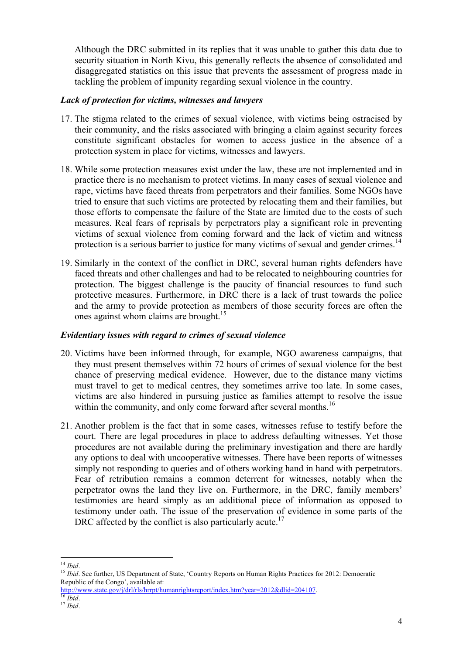Although the DRC submitted in its replies that it was unable to gather this data due to security situation in North Kivu, this generally reflects the absence of consolidated and disaggregated statistics on this issue that prevents the assessment of progress made in tackling the problem of impunity regarding sexual violence in the country.

#### *Lack of protection for victims, witnesses and lawyers*

- 17. The stigma related to the crimes of sexual violence, with victims being ostracised by their community, and the risks associated with bringing a claim against security forces constitute significant obstacles for women to access justice in the absence of a protection system in place for victims, witnesses and lawyers.
- 18. While some protection measures exist under the law, these are not implemented and in practice there is no mechanism to protect victims. In many cases of sexual violence and rape, victims have faced threats from perpetrators and their families. Some NGOs have tried to ensure that such victims are protected by relocating them and their families, but those efforts to compensate the failure of the State are limited due to the costs of such measures. Real fears of reprisals by perpetrators play a significant role in preventing victims of sexual violence from coming forward and the lack of victim and witness protection is a serious barrier to justice for many victims of sexual and gender crimes.<sup>14</sup>
- 19. Similarly in the context of the conflict in DRC, several human rights defenders have faced threats and other challenges and had to be relocated to neighbouring countries for protection. The biggest challenge is the paucity of financial resources to fund such protective measures. Furthermore, in DRC there is a lack of trust towards the police and the army to provide protection as members of those security forces are often the ones against whom claims are brought. 15

## *Evidentiary issues with regard to crimes of sexual violence*

- 20. Victims have been informed through, for example, NGO awareness campaigns, that they must present themselves within 72 hours of crimes of sexual violence for the best chance of preserving medical evidence. However, due to the distance many victims must travel to get to medical centres, they sometimes arrive too late. In some cases, victims are also hindered in pursuing justice as families attempt to resolve the issue within the community, and only come forward after several months.<sup>16</sup>
- 21. Another problem is the fact that in some cases, witnesses refuse to testify before the court. There are legal procedures in place to address defaulting witnesses. Yet those procedures are not available during the preliminary investigation and there are hardly any options to deal with uncooperative witnesses. There have been reports of witnesses simply not responding to queries and of others working hand in hand with perpetrators. Fear of retribution remains a common deterrent for witnesses, notably when the perpetrator owns the land they live on. Furthermore, in the DRC, family members' testimonies are heard simply as an additional piece of information as opposed to testimony under oath. The issue of the preservation of evidence in some parts of the DRC affected by the conflict is also particularly acute.<sup>17</sup>

<sup>!!!!!!!!!!!!!!!!!!!!!!!!!!!!!!!!!!!!!!!!!!!!!!!!!!!!!!!!!!!!</sup>

<sup>&</sup>lt;sup>14</sup> *Ibid*.<br><sup>15</sup> *Ibid*. See further, US Department of State, 'Country Reports on Human Rights Practices for 2012: Democratic Republic of the Congo', available at:

http://www.state.gov/j/drl/rls/hrrpt/humanrightsreport/index.htm?year=2012&dlid=204107. <sup>16</sup> *Ibid*. <sup>17</sup> *Ibid*.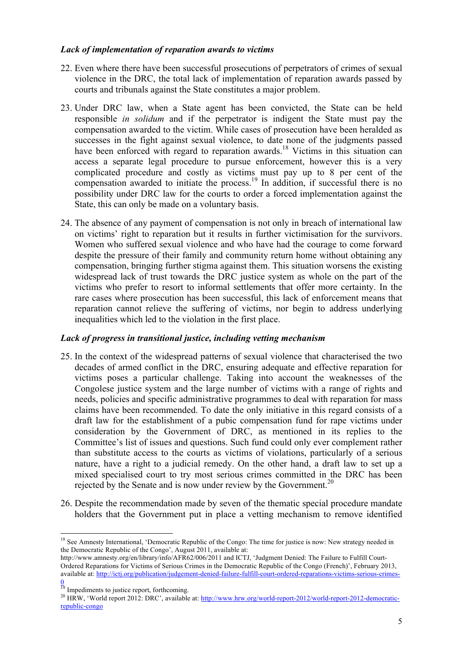## *Lack of implementation of reparation awards to victims*

- 22. Even where there have been successful prosecutions of perpetrators of crimes of sexual violence in the DRC, the total lack of implementation of reparation awards passed by courts and tribunals against the State constitutes a major problem.
- 23. Under DRC law, when a State agent has been convicted, the State can be held responsible *in solidum* and if the perpetrator is indigent the State must pay the compensation awarded to the victim. While cases of prosecution have been heralded as successes in the fight against sexual violence, to date none of the judgments passed have been enforced with regard to reparation awards.<sup>18</sup> Victims in this situation can access a separate legal procedure to pursue enforcement, however this is a very complicated procedure and costly as victims must pay up to 8 per cent of the compensation awarded to initiate the process. 19 In addition, if successful there is no possibility under DRC law for the courts to order a forced implementation against the State, this can only be made on a voluntary basis.
- 24. The absence of any payment of compensation is not only in breach of international law on victims' right to reparation but it results in further victimisation for the survivors. Women who suffered sexual violence and who have had the courage to come forward despite the pressure of their family and community return home without obtaining any compensation, bringing further stigma against them. This situation worsens the existing widespread lack of trust towards the DRC justice system as whole on the part of the victims who prefer to resort to informal settlements that offer more certainty. In the rare cases where prosecution has been successful, this lack of enforcement means that reparation cannot relieve the suffering of victims, nor begin to address underlying inequalities which led to the violation in the first place.

## *Lack of progress in transitional justice, including vetting mechanism*

- 25. In the context of the widespread patterns of sexual violence that characterised the two decades of armed conflict in the DRC, ensuring adequate and effective reparation for victims poses a particular challenge. Taking into account the weaknesses of the Congolese justice system and the large number of victims with a range of rights and needs, policies and specific administrative programmes to deal with reparation for mass claims have been recommended. To date the only initiative in this regard consists of a draft law for the establishment of a pubic compensation fund for rape victims under consideration by the Government of DRC, as mentioned in its replies to the Committee's list of issues and questions. Such fund could only ever complement rather than substitute access to the courts as victims of violations, particularly of a serious nature, have a right to a judicial remedy. On the other hand, a draft law to set up a mixed specialised court to try most serious crimes committed in the DRC has been rejected by the Senate and is now under review by the Government.<sup>20</sup>
- 26. Despite the recommendation made by seven of the thematic special procedure mandate holders that the Government put in place a vetting mechanism to remove identified

 $\overline{0}$ 

!!!!!!!!!!!!!!!!!!!!!!!!!!!!!!!!!!!!!!!!!!!!!!!!!!!!!!!!!!!!

<sup>&</sup>lt;sup>18</sup> See Amnesty International, 'Democratic Republic of the Congo: The time for justice is now: New strategy needed in the Democratic Republic of the Congo', August 2011, available at:

http://www.amnesty.org/en/library/info/AFR62/006/2011 and ICTJ, 'Judgment Denied: The Failure to Fulfill Court-Ordered Reparations for Victims of Serious Crimes in the Democratic Republic of the Congo (French)', February 2013, available at: http://ictj.org/publication/judgement-denied-failure-fulfill-court-ordered-reparations-victims-serious-crimes-

<sup>&</sup>lt;sup>19</sup> Impediments to justice report, forthcoming.

<sup>&</sup>lt;sup>20</sup> HRW, 'World report 2012: DRC', available at: http://www.hrw.org/world-report-2012/world-report-2012-democraticrepublic-congo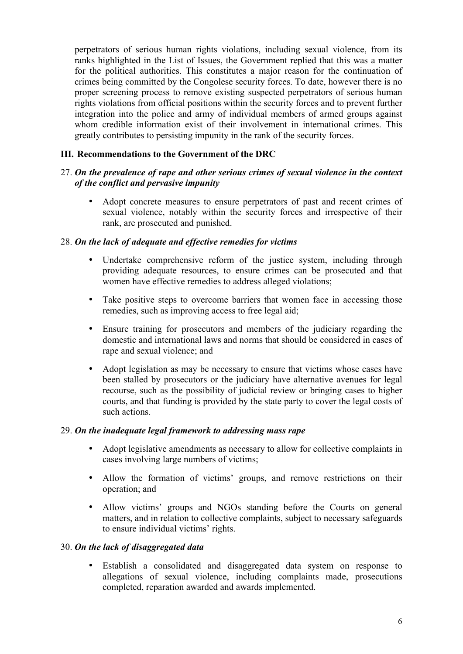perpetrators of serious human rights violations, including sexual violence, from its ranks highlighted in the List of Issues, the Government replied that this was a matter for the political authorities. This constitutes a major reason for the continuation of crimes being committed by the Congolese security forces. To date, however there is no proper screening process to remove existing suspected perpetrators of serious human rights violations from official positions within the security forces and to prevent further integration into the police and army of individual members of armed groups against whom credible information exist of their involvement in international crimes. This greatly contributes to persisting impunity in the rank of the security forces.

# **III. Recommendations to the Government of the DRC**

## 27. *On the prevalence of rape and other serious crimes of sexual violence in the context of the conflict and pervasive impunity*

Adopt concrete measures to ensure perpetrators of past and recent crimes of sexual violence, notably within the security forces and irrespective of their rank, are prosecuted and punished.

#### 28. *On the lack of adequate and effective remedies for victims*

- Undertake comprehensive reform of the justice system, including through providing adequate resources, to ensure crimes can be prosecuted and that women have effective remedies to address alleged violations;
- Take positive steps to overcome barriers that women face in accessing those remedies, such as improving access to free legal aid;
- Ensure training for prosecutors and members of the judiciary regarding the domestic and international laws and norms that should be considered in cases of rape and sexual violence; and
- Adopt legislation as may be necessary to ensure that victims whose cases have been stalled by prosecutors or the judiciary have alternative avenues for legal recourse, such as the possibility of judicial review or bringing cases to higher courts, and that funding is provided by the state party to cover the legal costs of such actions.

#### 29. *On the inadequate legal framework to addressing mass rape*

- Adopt legislative amendments as necessary to allow for collective complaints in cases involving large numbers of victims;
- Allow the formation of victims' groups, and remove restrictions on their operation; and
- Allow victims' groups and NGOs standing before the Courts on general matters, and in relation to collective complaints, subject to necessary safeguards to ensure individual victims' rights.

#### 30. *On the lack of disaggregated data*

• Establish a consolidated and disaggregated data system on response to allegations of sexual violence, including complaints made, prosecutions completed, reparation awarded and awards implemented.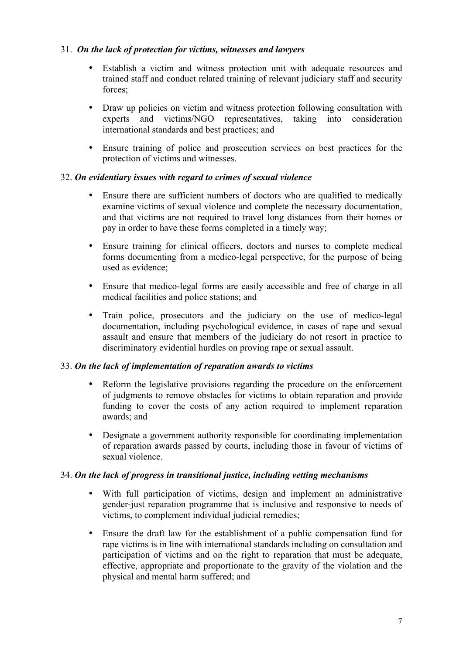# 31. *On the lack of protection for victims, witnesses and lawyers*

- Establish a victim and witness protection unit with adequate resources and trained staff and conduct related training of relevant judiciary staff and security forces;
- Draw up policies on victim and witness protection following consultation with experts and victims/NGO representatives, taking into consideration international standards and best practices; and
- Ensure training of police and prosecution services on best practices for the protection of victims and witnesses.

# 32. *On evidentiary issues with regard to crimes of sexual violence*

- Ensure there are sufficient numbers of doctors who are qualified to medically examine victims of sexual violence and complete the necessary documentation, and that victims are not required to travel long distances from their homes or pay in order to have these forms completed in a timely way;
- Ensure training for clinical officers, doctors and nurses to complete medical forms documenting from a medico-legal perspective, for the purpose of being used as evidence;
- Ensure that medico-legal forms are easily accessible and free of charge in all medical facilities and police stations; and
- Train police, prosecutors and the judiciary on the use of medico-legal documentation, including psychological evidence, in cases of rape and sexual assault and ensure that members of the judiciary do not resort in practice to discriminatory evidential hurdles on proving rape or sexual assault.

## 33. *On the lack of implementation of reparation awards to victims*

- Reform the legislative provisions regarding the procedure on the enforcement of judgments to remove obstacles for victims to obtain reparation and provide funding to cover the costs of any action required to implement reparation awards; and
- Designate a government authority responsible for coordinating implementation of reparation awards passed by courts, including those in favour of victims of sexual violence.

## 34. *On the lack of progress in transitional justice, including vetting mechanisms*

- With full participation of victims, design and implement an administrative gender-just reparation programme that is inclusive and responsive to needs of victims, to complement individual judicial remedies;
- Ensure the draft law for the establishment of a public compensation fund for rape victims is in line with international standards including on consultation and participation of victims and on the right to reparation that must be adequate, effective, appropriate and proportionate to the gravity of the violation and the physical and mental harm suffered; and